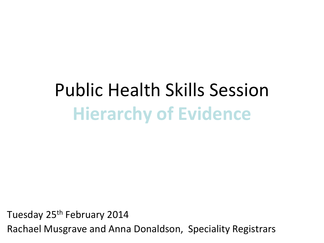# Public Health Skills Session **Hierarchy of Evidence**

Tuesday 25th February 2014 Rachael Musgrave and Anna Donaldson, Speciality Registrars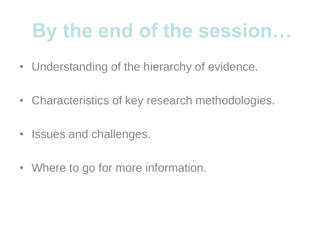# **By the end of the session…**

- Understanding of the hierarchy of evidence.
- Characteristics of key research methodologies.
- Issues and challenges.
- Where to go for more information.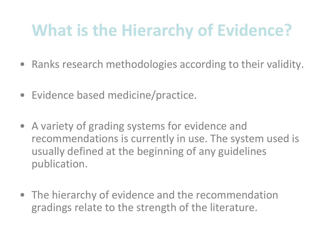#### **What is the Hierarchy of Evidence?**

- Ranks research methodologies according to their validity.
- Evidence based medicine/practice.
- A variety of grading systems for evidence and recommendations is currently in use. The system used is usually defined at the beginning of any guidelines publication.
- The hierarchy of evidence and the recommendation gradings relate to the strength of the literature.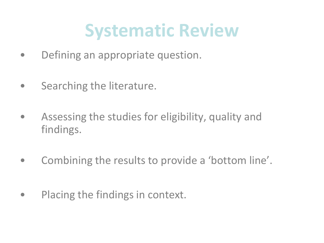### **Systematic Review**

- Defining an appropriate question.
- Searching the literature.
- Assessing the studies for eligibility, quality and findings.
- Combining the results to provide a 'bottom line'.
- Placing the findings in context.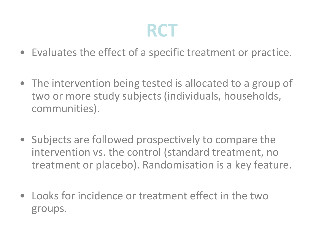#### **RCT**

- Evaluates the effect of a specific treatment or practice.
- The intervention being tested is allocated to a group of two or more study subjects (individuals, households, communities).
- Subjects are followed prospectively to compare the intervention vs. the control (standard treatment, no treatment or placebo). Randomisation is a key feature.
- Looks for incidence or treatment effect in the two groups.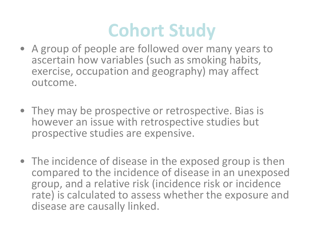### **Cohort Study**

- A group of people are followed over many years to ascertain how variables (such as smoking habits, exercise, occupation and geography) may affect outcome.
- They may be prospective or retrospective. Bias is however an issue with retrospective studies but prospective studies are expensive.
- The incidence of disease in the exposed group is then compared to the incidence of disease in an unexposed group, and a relative risk (incidence risk or incidence rate) is calculated to assess whether the exposure and disease are causally linked.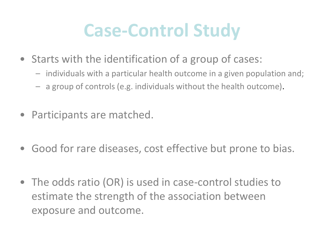#### **Case-Control Study**

- Starts with the identification of a group of cases:
	- individuals with a particular health outcome in a given population and;
	- a group of controls (e.g. individuals without the health outcome).
- Participants are matched.
- Good for rare diseases, cost effective but prone to bias.
- The odds ratio (OR) is used in case-control studies to estimate the strength of the association between exposure and outcome.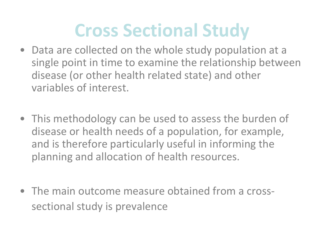### **Cross Sectional Study**

- Data are collected on the whole study population at a single point in time to examine the relationship between disease (or other health related state) and other variables of interest.
- This methodology can be used to assess the burden of disease or health needs of a population, for example, and is therefore particularly useful in informing the planning and allocation of health resources.
- The main outcome measure obtained from a crosssectional study is prevalence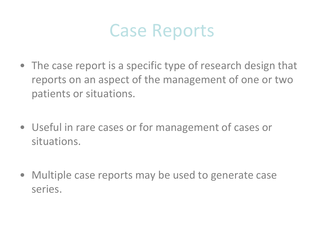

- The case report is a specific type of research design that reports on an aspect of the management of one or two patients or situations.
- Useful in rare cases or for management of cases or situations.
- Multiple case reports may be used to generate case series.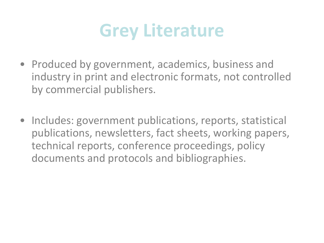

- Produced by government, academics, business and industry in print and electronic formats, not controlled by commercial publishers.
- Includes: government publications, reports, statistical publications, newsletters, fact sheets, working papers, technical reports, conference proceedings, policy documents and protocols and bibliographies.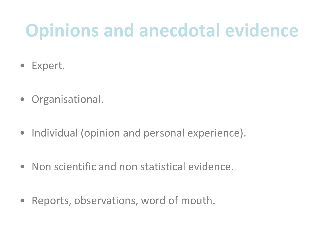### **Opinions and anecdotal evidence**

- Expert.
- Organisational.
- Individual (opinion and personal experience).
- Non scientific and non statistical evidence.
- Reports, observations, word of mouth.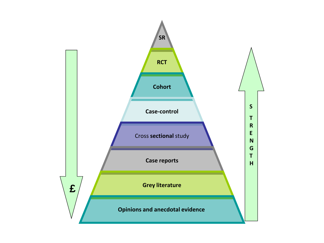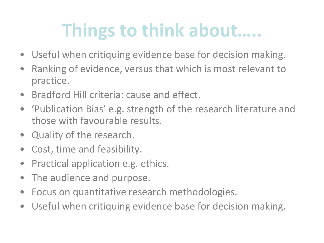## **Things to think about…..**

- Useful when critiquing evidence base for decision making.
- Ranking of evidence, versus that which is most relevant to practice.
- Bradford Hill criteria: cause and effect.
- 'Publication Bias' e.g. strength of the research literature and those with favourable results.
- Quality of the research.
- Cost, time and feasibility.
- Practical application e.g. ethics.
- The audience and purpose.
- Focus on quantitative research methodologies.
- Useful when critiquing evidence base for decision making.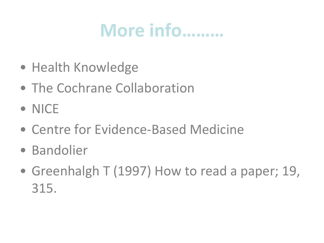#### **More info………**

- Health Knowledge
- The Cochrane Collaboration
- NICE
- Centre for Evidence-Based Medicine
- Bandolier
- Greenhalgh T (1997) How to read a paper; 19, 315.